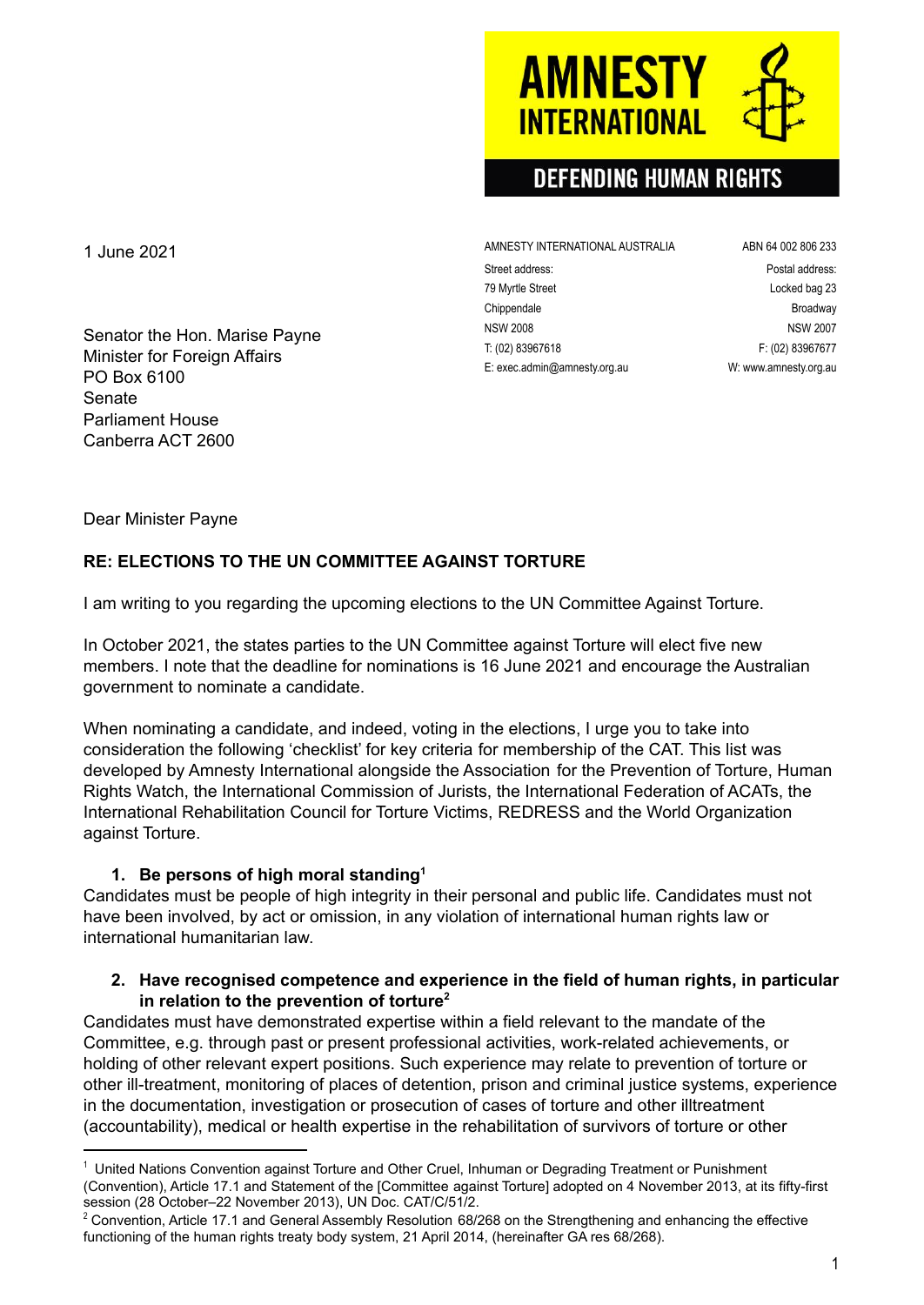

# **DEFENDING HUMAN RIGHTS**

AMNESTY INTERNATIONAL AUSTRALIA ABN 64 002 806 233 Street address: extending the street address: Postal address: 79 Myrtle Street Locked bag 23 Chippendale **Broadway** NSW 2008 NSW 2007 T: (02) 83967618 F: (02) 83967677 E: exec.admin@amnesty.org.au W: [www.amnesty.org.au](http://www.amnesty.org.au)

1 June 2021

Senator the Hon. Marise Payne Minister for Foreign Affairs PO Box 6100 Senate Parliament House Canberra ACT 2600

Dear Minister Payne

## **RE: ELECTIONS TO THE UN COMMITTEE AGAINST TORTURE**

I am writing to you regarding the upcoming elections to the UN Committee Against Torture.

In October 2021, the states parties to the UN Committee against Torture will elect five new members. I note that the deadline for nominations is 16 June 2021 and encourage the Australian government to nominate a candidate.

When nominating a candidate, and indeed, voting in the elections, I urge you to take into consideration the following 'checklist' for key criteria for membership of the CAT. This list was developed by Amnesty International alongside the Association for the Prevention of Torture, Human Rights Watch, the International Commission of Jurists, the International Federation of ACATs, the International Rehabilitation Council for Torture Victims, REDRESS and the World Organization against Torture.

### **1. Be persons of high moral standing 1**

Candidates must be people of high integrity in their personal and public life. Candidates must not have been involved, by act or omission, in any violation of international human rights law or international humanitarian law.

#### **2. Have recognised competence and experience in the field of human rights, in particular in relation to the prevention of torture 2**

Candidates must have demonstrated expertise within a field relevant to the mandate of the Committee, e.g. through past or present professional activities, work-related achievements, or holding of other relevant expert positions. Such experience may relate to prevention of torture or other ill-treatment, monitoring of places of detention, prison and criminal justice systems, experience in the documentation, investigation or prosecution of cases of torture and other illtreatment (accountability), medical or health expertise in the rehabilitation of survivors of torture or other

<sup>&</sup>lt;sup>1</sup> United Nations Convention against Torture and Other Cruel, Inhuman or Degrading Treatment or Punishment (Convention), Article 17.1 and Statement of the [Committee against Torture] adopted on 4 November 2013, at its fifty-first session (28 October–22 November 2013), UN Doc. CAT/C/51/2.

 $2$  Convention, Article 17.1 and General Assembly Resolution 68/268 on the Strengthening and enhancing the effective functioning of the human rights treaty body system, 21 April 2014, (hereinafter GA res 68/268).